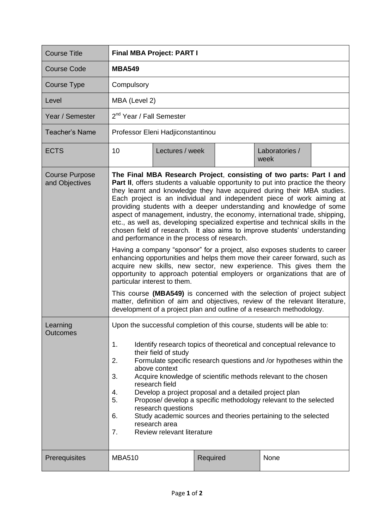| <b>Course Title</b>                     | <b>Final MBA Project: PART I</b>                                                                                                                                                                                                                                                                                                                                                                                                                                                                                                                                                                                                                                                                                                                                                                                                                                                                                                                                                                                                                                                                                                                                                                                                                               |                 |          |  |                        |  |
|-----------------------------------------|----------------------------------------------------------------------------------------------------------------------------------------------------------------------------------------------------------------------------------------------------------------------------------------------------------------------------------------------------------------------------------------------------------------------------------------------------------------------------------------------------------------------------------------------------------------------------------------------------------------------------------------------------------------------------------------------------------------------------------------------------------------------------------------------------------------------------------------------------------------------------------------------------------------------------------------------------------------------------------------------------------------------------------------------------------------------------------------------------------------------------------------------------------------------------------------------------------------------------------------------------------------|-----------------|----------|--|------------------------|--|
| <b>Course Code</b>                      | <b>MBA549</b>                                                                                                                                                                                                                                                                                                                                                                                                                                                                                                                                                                                                                                                                                                                                                                                                                                                                                                                                                                                                                                                                                                                                                                                                                                                  |                 |          |  |                        |  |
| <b>Course Type</b>                      | Compulsory                                                                                                                                                                                                                                                                                                                                                                                                                                                                                                                                                                                                                                                                                                                                                                                                                                                                                                                                                                                                                                                                                                                                                                                                                                                     |                 |          |  |                        |  |
| Level                                   | MBA (Level 2)                                                                                                                                                                                                                                                                                                                                                                                                                                                                                                                                                                                                                                                                                                                                                                                                                                                                                                                                                                                                                                                                                                                                                                                                                                                  |                 |          |  |                        |  |
| Year / Semester                         | 2 <sup>nd</sup> Year / Fall Semester                                                                                                                                                                                                                                                                                                                                                                                                                                                                                                                                                                                                                                                                                                                                                                                                                                                                                                                                                                                                                                                                                                                                                                                                                           |                 |          |  |                        |  |
| <b>Teacher's Name</b>                   | Professor Eleni Hadjiconstantinou                                                                                                                                                                                                                                                                                                                                                                                                                                                                                                                                                                                                                                                                                                                                                                                                                                                                                                                                                                                                                                                                                                                                                                                                                              |                 |          |  |                        |  |
| <b>ECTS</b>                             | 10                                                                                                                                                                                                                                                                                                                                                                                                                                                                                                                                                                                                                                                                                                                                                                                                                                                                                                                                                                                                                                                                                                                                                                                                                                                             | Lectures / week |          |  | Laboratories /<br>week |  |
| <b>Course Purpose</b><br>and Objectives | The Final MBA Research Project, consisting of two parts: Part I and<br>Part II, offers students a valuable opportunity to put into practice the theory<br>they learnt and knowledge they have acquired during their MBA studies.<br>Each project is an individual and independent piece of work aiming at<br>providing students with a deeper understanding and knowledge of some<br>aspect of management, industry, the economy, international trade, shipping,<br>etc., as well as, developing specialized expertise and technical skills in the<br>chosen field of research. It also aims to improve students' understanding<br>and performance in the process of research.<br>Having a company "sponsor" for a project, also exposes students to career<br>enhancing opportunities and helps them move their career forward, such as<br>acquire new skills, new sector, new experience. This gives them the<br>opportunity to approach potential employers or organizations that are of<br>particular interest to them.<br>This course (MBA549) is concerned with the selection of project subject<br>matter, definition of aim and objectives, review of the relevant literature,<br>development of a project plan and outline of a research methodology. |                 |          |  |                        |  |
| Learning<br><b>Outcomes</b>             | Upon the successful completion of this course, students will be able to:<br>Identify research topics of theoretical and conceptual relevance to<br>1.<br>their field of study<br>2.<br>Formulate specific research questions and /or hypotheses within the<br>above context<br>Acquire knowledge of scientific methods relevant to the chosen<br>3.<br>research field<br>Develop a project proposal and a detailed project plan<br>4.<br>Propose/ develop a specific methodology relevant to the selected<br>5.<br>research questions<br>Study academic sources and theories pertaining to the selected<br>6.<br>research area<br>Review relevant literature<br>7.                                                                                                                                                                                                                                                                                                                                                                                                                                                                                                                                                                                             |                 |          |  |                        |  |
| Prerequisites                           | <b>MBA510</b>                                                                                                                                                                                                                                                                                                                                                                                                                                                                                                                                                                                                                                                                                                                                                                                                                                                                                                                                                                                                                                                                                                                                                                                                                                                  |                 | Required |  | None                   |  |